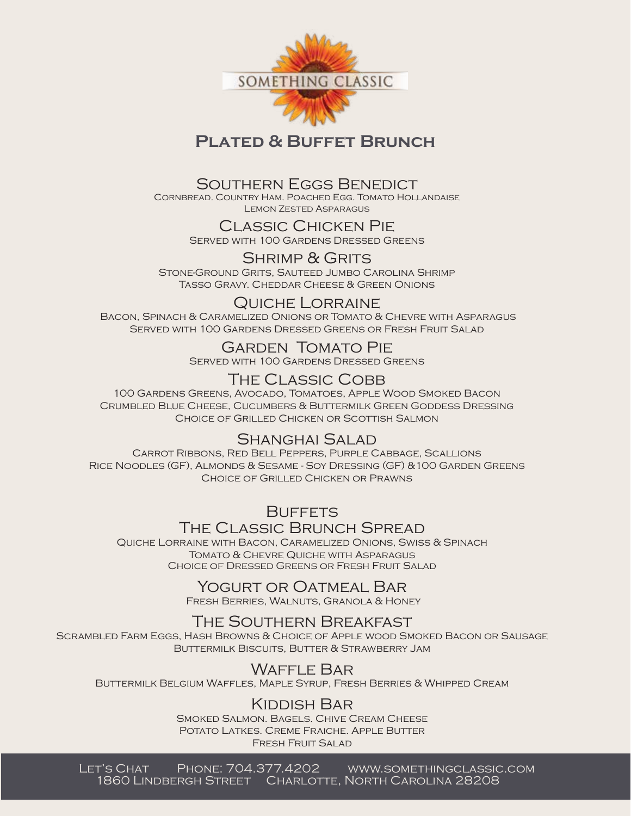

## **Plated & Buffet Brunch**

#### Southern Eggs Benedict

Cornbread. Country Ham. Poached Egg. Tomato Hollandaise Lemon Zested Asparagus

#### Classic Chicken Pie Served with 100 Gardens Dressed Greens

SHRIMP & GRITS

Stone-Ground Grits, Sauteed Jumbo Carolina Shrimp Tasso Gravy. Cheddar Cheese & Green Onions

#### Quiche Lorraine

 Bacon, Spinach & Caramelized Onions or Tomato & Chevre with Asparagus Served with 100 Gardens Dressed Greens or Fresh Fruit Salad

> Garden Tomato Pie Served with 100 Gardens Dressed Greens

# The Classic Cobb

100 Gardens Greens, Avocado, Tomatoes, Apple Wood Smoked Bacon Crumbled Blue Cheese, Cucumbers & Buttermilk Green Goddess Dressing Choice of Grilled Chicken or Scottish Salmon

### Shanghai Salad

Carrot Ribbons, Red Bell Peppers, Purple Cabbage, Scallions Rice Noodles (GF), Almonds & Sesame - Soy Dressing (GF) &100 Garden Greens Choice of Grilled Chicken or Prawns

> **BUFFETS** The Classic Brunch Spread

Quiche Lorraine with Bacon, Caramelized Onions, Swiss & Spinach Tomato & Chevre Quiche with Asparagus Choice of Dressed Greens or Fresh Fruit Salad

## Yogurt or Oatmeal Bar

Fresh Berries, Walnuts, Granola & Honey

## The Southern Breakfast

Scrambled Farm Eggs, Hash Browns & Choice of Apple wood Smoked Bacon or Sausage Buttermilk Biscuits, Butter & Strawberry Jam

## Waffle Bar

Buttermilk Belgium Waffles, Maple Syrup, Fresh Berries & Whipped Cream

### Kiddish Bar

Smoked Salmon. Bagels. Chive Cream Cheese POTATO LATKES. CREME FRAICHE. APPLE BUTTER Fresh Fruit Salad

Let's Chat Phone: 704.377.4202 www.somethingclassic.com 1860 Lindbergh Street Charlotte, North Carolina 28208